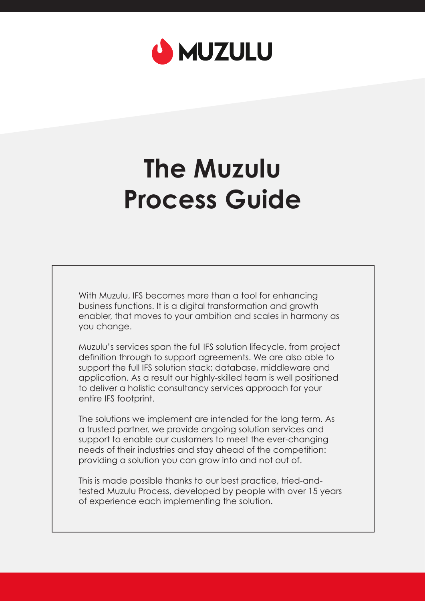

### **The Muzulu Process Guide**

With Muzulu, IFS becomes more than a tool for enhancing business functions. It is a digital transformation and growth enabler, that moves to your ambition and scales in harmony as you change.

Muzulu's services span the full IFS solution lifecycle, from project definition through to support agreements. We are also able to support the full IFS solution stack; database, middleware and application. As a result our highly-skilled team is well positioned to deliver a holistic consultancy services approach for your entire IFS footprint.

The solutions we implement are intended for the long term. As a trusted partner, we provide ongoing solution services and support to enable our customers to meet the ever-changing needs of their industries and stay ahead of the competition: providing a solution you can grow into and not out of.

This is made possible thanks to our best practice, tried-andtested Muzulu Process, developed by people with over 15 years of experience each implementing the solution.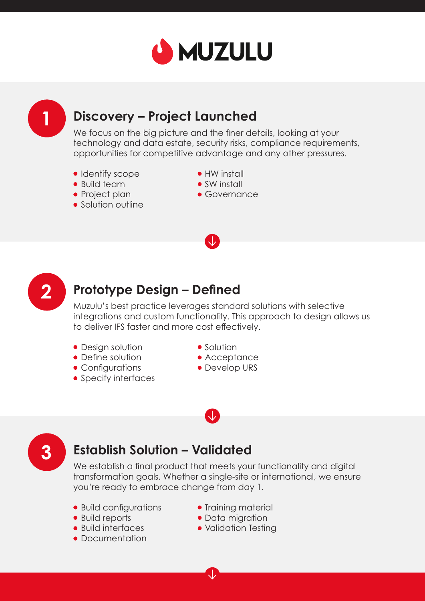

## **1**

#### **Discovery – Project Launched**

We focus on the big picture and the finer details, looking at your technology and data estate, security risks, compliance requirements, opportunities for competitive advantage and any other pressures.

- Identify scope
- Build team
- Project plan
- Solution outline
- HW install
- SW install
- Governance



#### **Prototype Design – Defined**

Muzulu's best practice leverages standard solutions with selective integrations and custom functionality. This approach to design allows us to deliver IFS faster and more cost effectively.

- Design solution
- Define solution
- Configurations
- Specify interfaces
- Solution
- **Acceptance**
- Develop URS

## **3**

#### **Establish Solution – Validated**

We establish a final product that meets your functionality and digital transformation goals. Whether a single-site or international, we ensure you're ready to embrace change from day 1.

- Build configurations
- Build reports
- Build interfaces
- Documentation
- Training material
- Data migration
- Validation Testing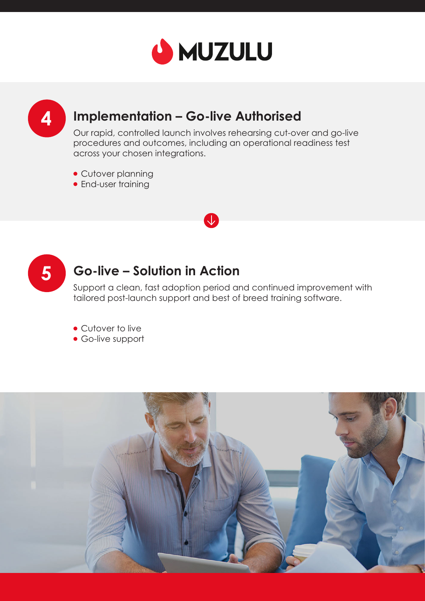

# **4**

#### **Implementation – Go-live Authorised**

Our rapid, controlled launch involves rehearsing cut-over and go-live procedures and outcomes, including an operational readiness test across your chosen integrations.

k.

- Cutover planning
- **•** End-user training



#### **Go-live – Solution in Action**

Support a clean, fast adoption period and continued improvement with tailored post-launch support and best of breed training software.

• Cutover to live

Go-live support